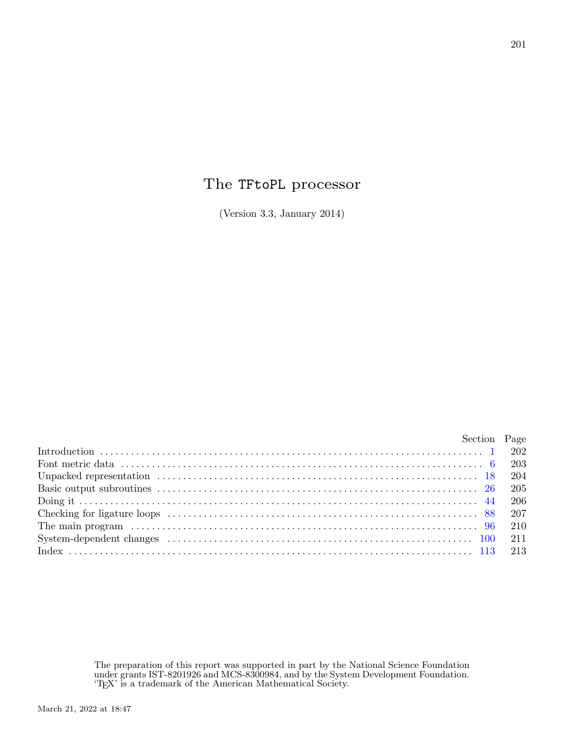## The TFtoPL processor

(Version 3.3, January 2014)

| Section Page |  |
|--------------|--|
|              |  |
|              |  |
|              |  |
|              |  |
|              |  |
|              |  |
|              |  |
|              |  |
|              |  |

The preparation of this report was supported in part by the National Science Foundation under grants IST-8201926 and MCS-8300984, and by the System Development Foundation. 'TEX' is a trademark of the American Mathematical Society.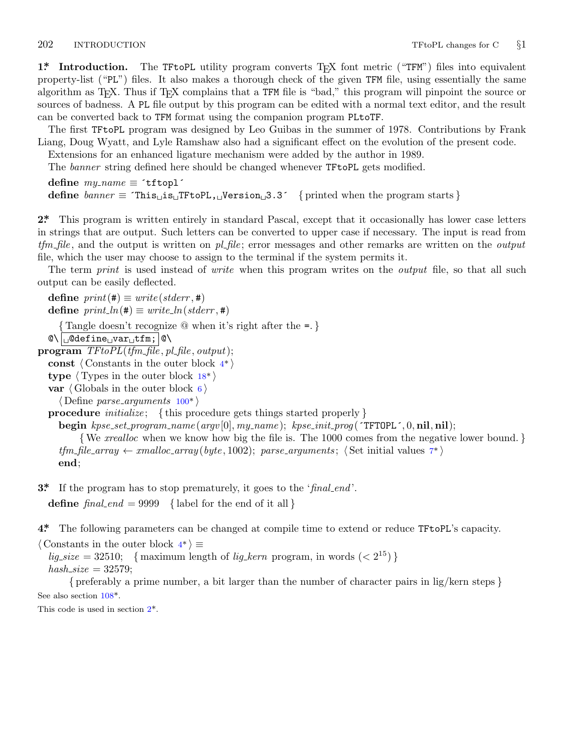<span id="page-1-0"></span>

**1\*** Introduction. The TFtoPL utility program converts T<sub>F</sub>X font metric ("TFM") files into equivalent property-list ("PL") files. It also makes a thorough check of the given TFM file, using essentially the same algorithm as TEX. Thus if TEX complains that a TFM file is "bad," this program will pinpoint the source or sources of badness. A PL file output by this program can be edited with a normal text editor, and the result can be converted back to TFM format using the companion program PLtoTF.

The first TFtoPL program was designed by Leo Guibas in the summer of 1978. Contributions by Frank Liang, Doug Wyatt, and Lyle Ramshaw also had a significant effect on the evolution of the present code.

Extensions for an enhanced ligature mechanism were added by the author in 1989. The *banner* string defined here should be changed whenever TFtoPL gets modified.

```
define \, my_name \equiv 'tftop1'define banner ≡ ´This␣is␣TFtoPL,␣Version␣3.3´ { printed when the program starts }
```
**2\*.** This program is written entirely in standard Pascal, except that it occasionally has lower case letters in strings that are output. Such letters can be converted to upper case if necessary. The input is read from *tfm file* , and the output is written on *pl file* ; error messages and other remarks are written on the *output* file, which the user may choose to assign to the terminal if the system permits it.

The term *print* is used instead of *write* when this program writes on the *output* file, so that all such output can be easily deflected.

 $\text{define } print(\texttt{\#}) \equiv write(staterr, \texttt{\#})$  $\text{define } print(\texttt{\#}) \equiv write(staterr, \texttt{\#})$  $\text{define } print(\texttt{\#}) \equiv write(staterr, \texttt{\#})$  $\text{define } print\_ln(\texttt{\#}) \equiv write\_ln(staterr, \texttt{\#})$ *{* Tangle doesn't recogniz[e @](#page-10-0) when it's right after the =. *}*  $\mathcal{O}\setminus\bigcup\mathcal{O}$ define $\cup$ var $\cup$ tfm;  $\mathcal{O}\setminus\big|$ **program**  $TFtoPL(tfm_{\textit{m}}$  *file*,  $pl_{\textit{m}}$ *file*,  $output)$ ; **const** *⟨* Constants in the outer block 4\* *⟩* **type** *⟨* Types in the outer block 18\* *⟩* **var**  $\langle$  Globals in the outer block 6 $\rangle$ *⟨* Define *parse arguments* 100\* *⟩* **procedure** *initialize* ; *{* this procedure gets things started properly *}* **begin** *kpse set program name* (*argv* [0]*, my name* ); *kpse init prog* (´TFTOPL´*,* 0*,* **nil***,* **nil**); *{*We *xrealloc* when we know how big the file is. The 1000 comes from the negative lower bound. *}*  $t$ *fm file*  $\angle$ *array*  $\leftarrow$   $\angle$ *xmalloc*  $\angle$ *array* (*byte*, 1002); *parse*  $\angle$ *arguments*;  $\langle$  Set initial values  $7^*$ **end**;

**3\*.** If the program has to stop prematurely, it goes to the '*final end* '.

**define**  $\text{final\_end} = 9999$  {label for the end of it all }

**4\*.** The follo[win](#page-11-0)g parameters can be changed at compile time to extend or reduce TFtoPL's capacity.

*⟨* Constants in the outer block 4\* *⟩ ≡*

 $lig\_size = 32510;$  {maximum length of *lig\_kern* program, in words  $\left( \langle 2^{15} \rangle \right)$ }  $hash\_size = 32579$ ;

*{* preferably a prime number, a bit larger than the number of character pairs in lig/kern steps *}* See also section 108\*.

This code is used in section 2\*.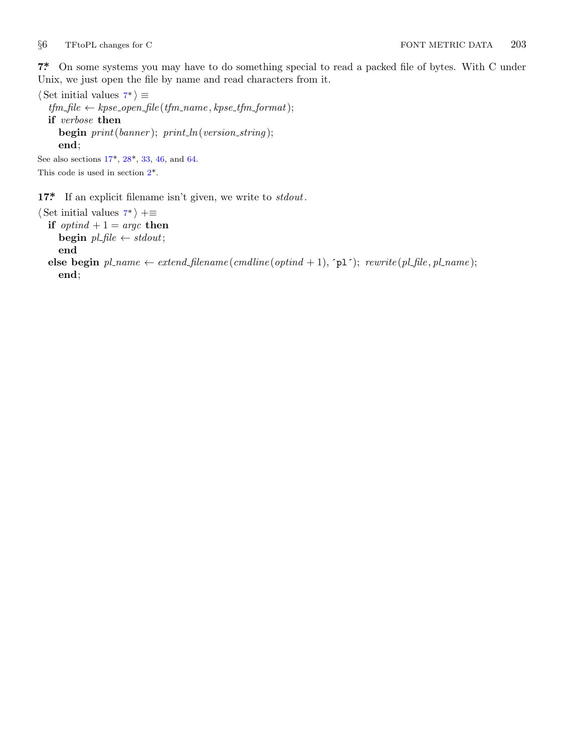<span id="page-2-0"></span>

**7\*.** On some systems you may have to do something special to read a packed file of bytes. With C under Unix, we just ope[n th](#page-4-0)e file by name and read characters from it.

*⟨* Set initial values 7\* *⟩ [≡](#page-1-0)*  $tfm$ *-file*  $\leftarrow$  *kpse\_open\_file* ( $tfm$ *-name*,  $k$ *pse\_tfm\_format*); **if** *verbose* **then begin** *print*(*banner* ); *print ln*(*version string* ); **end**; See also sections 17\*, 28\*, 33, 46, and 64.

This code is used in section 2\*.

**17\*.** If an explicit filename isn't given, we write to *stdout*.

```
⟨ Set initial values 7* ⟩ +≡
  if optind + 1 = \arg c then
     begin pl\_file \leftarrow stdout;end
  else begin pl_name \leftarrow extend\_filename(cmdline(optind + 1), \text{'pl'}); \text{ } rewrite(pl\_file, pl_name);end;
```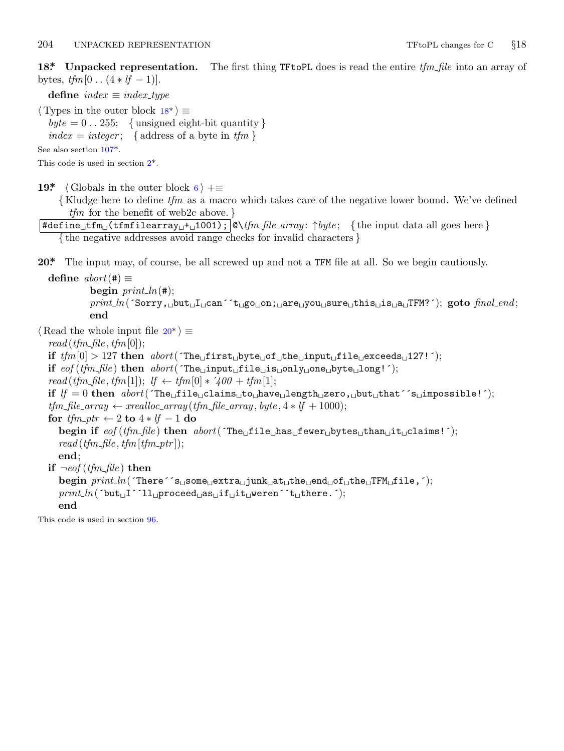<span id="page-3-0"></span>**18\*. Unpacked representation.** The first thing TFtoPL does is read the entire *tfm file* into an array of bytes,  $tfm[0..(4 * lf - 1)].$  $tfm[0..(4 * lf - 1)].$  $tfm[0..(4 * lf - 1)].$  $tfm[0..(4 * lf - 1)].$  $tfm[0..(4 * lf - 1)].$ 

**define**  $index \equiv index\_type$ *⟨* Types in the outer block 18\* *⟩ ≡*  $byte = 0$ ...255; {unsigned eight-bit quantity}  $index = integer$ ; { address of a byte in  $tfm$  } See also section 107\*. This code is used in section 2\*.

**19\***  $\langle$  Globals in the outer block 6  $\rangle$  + $\equiv$ 

*{* Kludge here to define *tfm* as a macro which takes care of the negative lower bound. We've defined *tfm* for the benefit of web2c above. *}*

#define␣tfm␣(tfmfilearray␣+␣1001); @\*tfm file array* : *↑byte* ; *{* the input data all goes here *} {* the negative addresses avoid range checks for invalid characters *}*

**20\*.** The input may, of course, be all screwed up and not a TFM file at all. So we begin cautiously.

**define**  $abort$  (#)  $\equiv$ **begin**  $print\_ln(F)$ ; *print ln*(´Sorry,␣but␣I␣can´´t␣go␣on;␣are␣you␣sure␣this␣is␣a␣TFM?´); **goto** *final end* ; **end** *⟨* Read the whole input file 20\* *⟩ ≡*  $read(tfm\_file, tfm[0]);$ **if**  $tfm[0] > 127$  **then**  $abort('The<sub>u</sub>first<sub>u</sub>byte<sub>u</sub>of<sub>u</sub>the<sub>u</sub>input<sub>u</sub>file<sub>u</sub>exceeds<sub>u</sub>127!');$ **if** *eof* (*tfm file* ) **then** *abort*(´The␣input␣file␣is␣only␣one␣byte␣long!´);  $read(tfm_{\text{m}} - file, tfm[1]); \text{ } \text{if } \leftarrow tfm[0] * '400 + tfm[1];$ **if** *lf* = 0 **then** *abort*(´The␣file␣claims␣to␣have␣length␣zero,␣but␣that´´s␣impossible!´);  $tfm_file_array \leftarrow \text{} \leftarrow \text{} \left( \frac{f}{m_f} \right) \left( \frac{f}{m_f} \right) \left( \frac{f}{m_f} \right) \left( \frac{f}{m_f} \right) \left( \frac{f}{m_f} \right) \left( \frac{f}{m_f} \right) \left( \frac{f}{m_f} \right) \left( \frac{f}{m_f} \right) \left( \frac{f}{m_f} \right) \left( \frac{f}{m_f} \right) \left( \frac{f}{m_f} \right) \left( \frac{f}{m_f} \right) \left( \frac{f}{m_f} \right) \left( \frac{f}{m_f} \right) \left( \$ **for** *tfm ptr ←* 2 **to** 4 *∗ lf −* 1 **do begin if**  $\text{eof}(t\text{fm},\text{file})$  **then**  $\text{abort}(^\text{th} \text{file}_1, \text{file}_1, \text{false}_1, \text{true}_1, \text{plus}_1, \text{true}_1, \text{time}_1, \text{time}_1, \text{time}_1, \text{time}_1, \text{time}_1, \text{time}_1, \text{time}_1, \text{time}_1, \text{time}_1, \text{time}_1, \text{time}_1, \text{time}_1, \text{time}_1, \text{time}_1, \text{time}_1, \text{time}_1, \text{time}_1, \text{time}_1, \text{time$  $read(tfm_{\textit{m}}/file, tfm_{\textit{m}}/tfm_{\textit{m}}/ifm_{\textit{m}}/ifm_{\textit{m}}/ifm_{\textit{m}}/ifm_{\textit{m}}/ifm_{\textit{m}}/ifm_{\textit{m}}/ifm_{\textit{m}}/ifm_{\textit{m}}/ifm_{\textit{m}}/ifm_{\textit{m}}/ifm_{\textit{m}}/ifm_{\textit{m}}/ifm_{\textit{m}}/ifm_{\textit{m}}/ifm_{\textit{m}}/ifm_{\textit{m}}/ifm_{\textit{m}}/ifm_{\textit{m}}/ifm_{\textit{$ **end**; **if** *¬eof* (*tfm file* ) **then begin** *print ln*(´There´´s␣some␣extra␣junk␣at␣the␣end␣of␣the␣TFM␣file,´); *print ln*(´but␣I´´ll␣proceed␣as␣if␣it␣weren´´t␣there.´); **end** This code is used in section 96.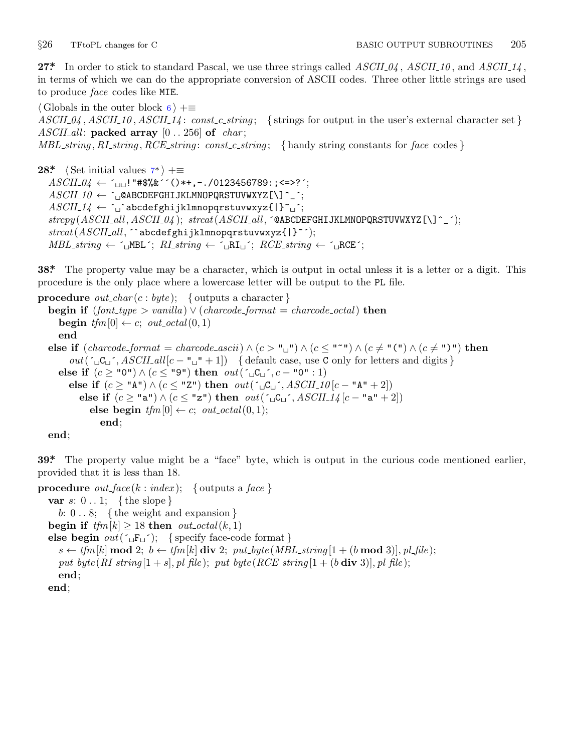<span id="page-4-0"></span>

**27\*.** In order to stick to standard Pascal, we use three strings called *ASCII 04* , *ASCII 10* , and *ASCII 14* , in terms of which we can do the appropriate conversion of ASCII codes. Three other little strings are used to produce *face* codes li[ke](#page-2-0) MIE.

*⟨* Globals in the outer block 6 *⟩* +*≡*  $ASCII_0$ ,  $ASCII_10$ ,  $ASCII_14$ :  $const.c.$  *string*; { strings for output in the user's external character set } *ASCII all* : **packed array** [0 *. .* 256] **of** *char* ; *MBL string , RI string , RCE string* : *const c string* ; *{* handy string constants for *face* codes *}*

**28\*.** *⟨* Set initial values 7\* *⟩* +*≡ ASCII 04 ←* ´␣␣!"#\$%&´´()\*+,−./0123456789:;<=>?´; *ASCII 10 ←* ´␣@ABCDEFGHIJKLMNOPQRSTUVWXYZ[\]^\_´; *ASCII 14 ←* ´␣`abcdefghijklmnopqrstuvwxyz{|}~␣´; *strcpy* (*ASCII all , ASCII 04* ); *strcat*(*ASCII all ,* ´@ABCDEFGHIJKLMNOPQRSTUVWXYZ[\]^\_´); *strcat*(*ASCII all ,* ´`abcdefghijklmnopqrstuvwxyz{|}~´);  $MBL\_string \leftarrow \neg_\Box \text{MBL}$ <sup> $\therefore$ </sup> *RI\_string*  $\leftarrow \neg_\Box \text{RL}$  $\therefore$  *RCE\_string*  $\leftarrow \neg_\Box \text{RCE}$  $\therefore$ 

**38\*.** The property value may be a character, which is output in octal unless it is a letter or a digit. This procedure is the only place where a lowercase letter will be output to the PL file.

**procedure** *out\_char* (*c* : *byte*); { outputs a character } **begin if**  $(font_type > vanilla) \vee (charcode\_format = charcode\_octal)$  **then begin**  $tfm[0] \leftarrow c$ ;  $out\_octal(0, 1)$ **end else if** (*charcode format* = *charcode ascii*) *∧* (*c >* "␣") *∧* (*c ≤* "~") *∧* (*c ̸*= "(") *∧* (*c ̸*= ")") **then**  $out(\lceil \Box C \rceil', ASCII\_all[c - "□ " + 1])$  {default case, use C only for letters and digits } **else if**  $(c \geq$  "0")  $\land$   $(c \leq$  "9") **then**  $out(\lceil \sqcup C_{\sqcup} \rceil, c - "0" : 1)$ **else if**  $(c ≥ "A") ∧ (c ≤ "Z")$  **then**  $out(\ulcorner ∎C□ \urcorner, ASCII_10[c - "A" + 2])$ **else if**  $(c \geq$  "a") ∧  $(c \leq$  "z") **then**  $out(\neg C \sqcup \neg A \cup C \sqcup \neg A \mid (c - "a" + 2])$  $\mathbf{else}$  **begin**  $tfm[0] \leftarrow c$ ;  $out\_octal(0, 1)$ ; **end**;

**end**;

**39\*.** The property value might be a "face" byte, which is output in the curious code mentioned earlier, provided that it is less than 18.

```
procedure out_face (k : index); \{ outputs a face \}var s: 0 . . 1; { the slope }
     b: 0 . . 8; { the weight and expansion }
  begin if tfm[k] \geq 18 then out\_octal(k, 1)else begin out(\lceil \text{F}_\sqcup \rceil); { specify face-code format }
     s \leftarrow tfm[k] mod 2; b \leftarrow tfm[k] div 2; put\_byte(MBL\_string[1 + (b \mod 3)], pLfile);
     put\_byte(R1 \text{ -} string | 1 + s |, p1 \text{ -} file); \; put\_byte(RCE \text{ -} string | 1 + (b \text{ div } 3) |, p1 \text{ -} file);end;
  end;
```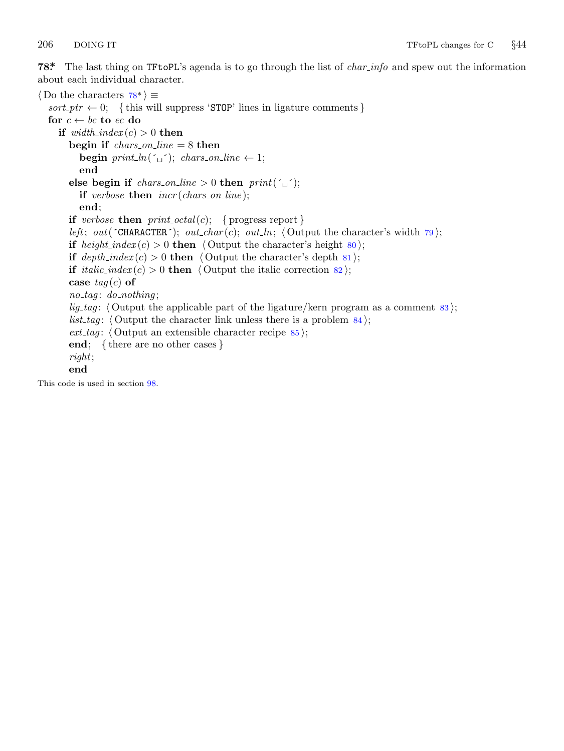<span id="page-5-0"></span>

**78\*.** The last thing on TFtoPL's agenda is to go through the list of *char info* and spew out the information about each individual character.

*⟨* Do the characters 78\* *⟩ ≡*  $sort\_ptr \leftarrow 0;$  {this will suppress 'STOP' lines in ligature comments } **for**  $c \leftarrow bc$  **to**  $ec$  **do if**  $width\_index(c) > 0$  **then begin if** *chars on line* = 8 **then begin**  $print\_ln(\lceil \_ \rceil);$   $chars\_on\_line \leftarrow 1;$ **end else begin if** *chars\_on\_line* > 0 **then**  $print(\tilde{\theta})$ ; **if** *verbose* **then** *incr* (*chars on line* ); **end**; **if** *verbose* **then**  $print\_octal(c);$  { progress report } *left*; *out*( $\text{'}\text{'}\text{CHARACTER'}$ ); *out\_char*(*c*); *out\_ln*;  $\langle$  Output the character's width 79); **if** *height\_index* (*c*) > 0 **then**  $\langle$  Output the character's height 80); **if**  $depth\_index(c) > 0$  **then**  $\langle$  Output the character's depth 81  $\rangle$ ; **if** *italic\_index* (*c*) > 0 **then**  $\langle$  Output the italic correction 82); **case** *tag* (*c*) **of** *no tag* : *do nothing* ; *lig\_tag*:  $\langle$  Output the applicable part of the ligature/kern program as a comment 83 $\rangle$ ; *list\_tag*:  $\langle$  Output the character link unless there is a problem  $\frac{84}{7}$ ; *ext tag* : *⟨* Output an extensible character recipe 85 *⟩*; **end**; *{* there are no other cases *} right*; **end** This code is used in section 98.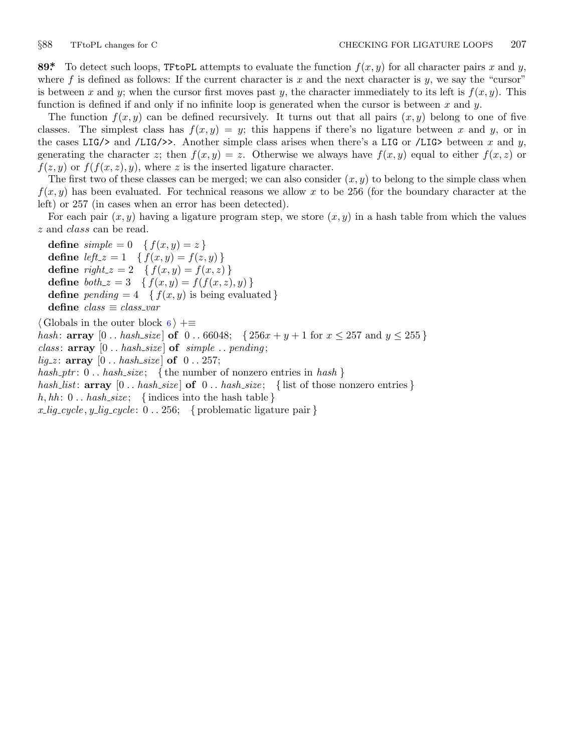<span id="page-6-0"></span>

**89\*** To detect such loops, TFtoPL attempts to evaluate the function  $f(x, y)$  for all character pairs x and y, where  $f$  is defined as follows: If the current character is  $x$  and the next character is  $y$ , we say the "cursor" is between *x* and *y*; when the cursor first moves past *y*, the character immediately to its left is  $f(x, y)$ . This function is defined if and only if no infinite loop is generated when the cursor is between *x* and *y*.

The function  $f(x, y)$  can be defined recursively. It turns out that all pairs  $(x, y)$  belong to one of five classes. The simplest class has  $f(x, y) = y$ ; this happens if there's no ligature between x and y, or in the cases LIG/ $>$  and /LIG/ $>$ . Another simple class arises when there's a LIG or /LIG $>$  between x and y, generating the character *z*; then  $f(x, y) = z$ . Otherwise we always have  $f(x, y)$  equal to either  $f(x, z)$  or  $f(z, y)$  or  $f(f(x, z), y)$ , where *z* is the inserted ligature character.

The first two of these classes can be merged; we can also consider  $(x, y)$  to belong to the simple class when  $f(x, y)$  has been evaluated. For technical reasons we allow x to be 256 (for the boundary character at the left) or 257 (in cases when an error has been detected).

For each pair  $(x, y)$  having a ligature program step, we store  $(x, y)$  in a hash table from which the values *z* and *class* can be read.

**define**  $simple = 0 \{ f(x, y) = z \}$ **define**  $left \cup z = 1 \quad \{ f(x, y) = f(z, y) \}$ **define**  $right_z = 2 \{ f(x, y) = f(x, z) \}$ **define**  $both\_z = 3$  { $f(x, y) = f(f(x, z), y)$ } **define**  $pending = 4 \{ f(x, y) \text{ is being evaluated } \}$ **define** *class ≡ class var ⟨* Globals in the outer block 6 *⟩* +*≡ hash*: **array**  $[0 \text{ .. } \textit{hash\_size}$  of  $0 \text{ .. } 66048$ ;  $\{256x + y + 1 \text{ for } x \leq 257 \text{ and } y \leq 255\}$ *class* : **array** [0 *. . hash size* ] **of** *simple . . pending* ;  $lig\_z$ : **array**  $[0 \tldots has \tbinom{\textit{hash\_size}}{\textit{of}} \tbinom{\textit{of}}{\textit{of}} \tbinom{\textit{of}}{\textit{of}} \tbinom{\textit{of}}{\textit{of}} \tbinom{\textit{off}}{\textit{of}} \tbinom{\textit{off}}{\textit{of}} \tbinom{\textit{off}}{\textit{of}} \tbinom{\textit{off}}{\textit{of}} \tbinom{\textit{off}}{\textit{of}} \tbinom{\textit{off}}{\textit{of}} \tbinom{\textit{off}}{\textit{of}} \tbinom{\textit{off}}{\textit{of}} \tbinom$ *hash ptr* : 0 *. . hash size* ; *{* the number of nonzero entries in *hash } hash list*: **array** [0 *. . hash size* ] **of** 0 *. . hash size* ; *{* list of those nonzero entries *}*  $h, hh: 0... has h\_size; \{ indices into the hash table \}$ 

 $x$  *lig*  $\angle$ *cycle*  $, y$  *lig*  $\angle$ *cycle* : 0  $\ldots$  256; { problematic ligature pair }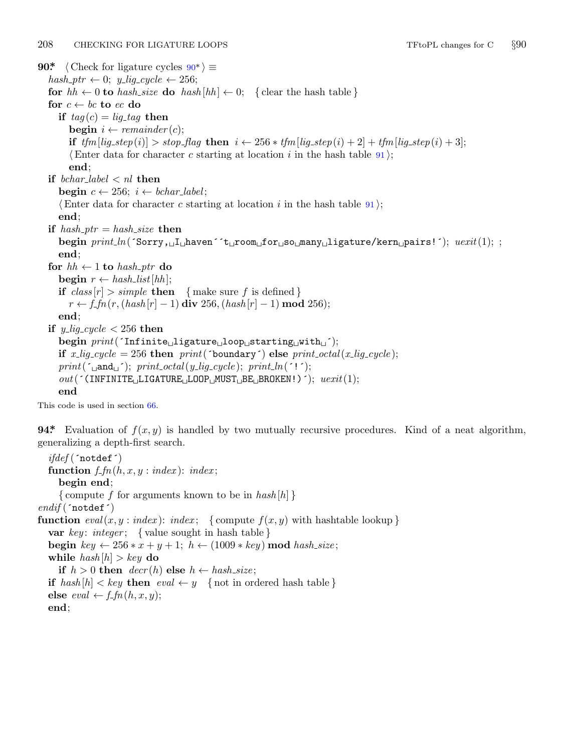<span id="page-7-0"></span>208 CHECKING FOR LIGATURE LOOPS TFtoPL changes for C *§*90 **90\***  $\langle$  Check for ligature cycles  $90^*$   $\equiv$  $hash\_ptr \leftarrow 0; y\_lig\_cycle \leftarrow 256;$ **for**  $hh \leftarrow 0$  **to**  $hash\_size$  **do**  $hash[hh] \leftarrow 0$ ; {clear the hash table } **for**  $c \leftarrow bc$  **to**  $ec$  **do if**  $taq(c) = liq\_taq$  **then begin**  $i \leftarrow remainder(c)$ ; if  $tfm[lig\_step(i)] > stop\_flag$  then  $i \leftarrow 256 * tfm[lig\_step(i) + 2] + tfm[lig\_step(i) + 3];$  $\langle$  Enter data for character *c* starting at location *i* in the hash table 91 $\rangle$ ; **end**; **if** *bchar label < nl* **then begin**  $c \leftarrow 256$ ;  $i \leftarrow \text{bchar\_label}$ ; *⟨*Enter data for character *c* starting at location *i* in the hash table 91 *⟩*; **end**; **if**  $hash_ptr = hash_size$  **then begin** *print ln*(´Sorry,␣I␣haven´´t␣room␣for␣so␣many␣ligature/kern␣pairs!´); *uexit*(1); ; **end**; **for**  $hh \leftarrow 1$  **to**  $hash\_ptr$  **do**  $\mathbf{begin}[t]$   $r \leftarrow hash\_list[hh];$ **if**  $class[r] > simple$  **then**  $\{ \text{make sure } f \text{ is defined } \}$ *r* ←  $f\_fn(r, (hash[r] - 1)$  **div** 256*,*( $hash[r] - 1)$  **mod** 256); **end**; **if**  $y$ <sub>-lig-cycle  $\lt$  256 **then**</sub> **begin** *print*(´Infinite␣ligature␣loop␣starting␣with␣´); **if**  $x$ -lig-cycle = 256 **then**  $print('boundary')$  **else**  $print\_octal(x$ -lig-cycle);  $print(\lceil \text{and}_\sqcup \rceil); \text{ print\_octal}(y\_lig\_cycle); \text{ print\_ln}(\lceil \cdot \rceil);$ *out*(´(INFINITE␣LIGATURE␣LOOP␣MUST␣BE␣BROKEN!)´); *uexit*(1); **end**

This code is used in section 66.

**94\*** Evaluation of  $f(x, y)$  is handled by two mutually recursive procedures. Kind of a neat algorithm, generalizing a depth-first search.

*ifdef* (´notdef´) **function**  $f$ <sup>*fn*</sup>( $h$ *,x,y* : *index*): *index*; **begin end**; *{* compute *f* for arguments known to be in *hash* [*h*] *} endif* (´notdef´) **function**  $eval(x, y : index): index; \{ compute f(x, y) \text{ with hashtable lookup } \}$ **var** *key* : *integer* ; *{* value sought in hash table *}* **begin**  $key \leftarrow 256 * x + y + 1; h \leftarrow (1009 * key) \text{ mod } hash\_size;$ **while**  $hash[h] > key$  **do if**  $h > 0$  **then**  $decr(h)$  **else**  $h \leftarrow hash\_size$ ; **if**  $hash[h] < key$  **then**  $eval \leftarrow y$  {not in ordered hash table } **else**  $eval \leftarrow f\_fn(h, x, y);$ **end**;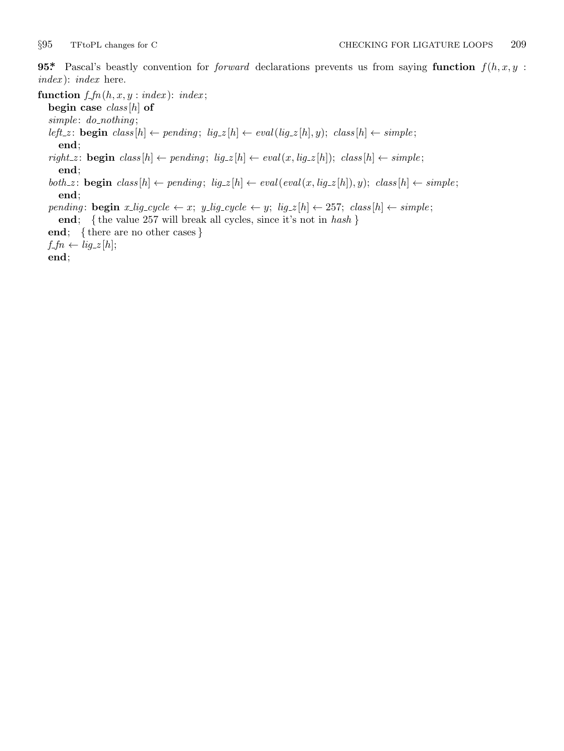<span id="page-8-0"></span>**95\*** Pascal's beastly convention for *forward* declarations prevents us from saying **function**  $f(h, x, y)$ : *index* ): *index* here.

**function**  $f$ <sup>*fn*</sup>( $h$ *,x,y* : *index*): *index*;

**begin case** *class* [*h*] **of**

*simple* : *do nothing* ;

 $\mathit{left\_z} \colon \mathbf{begin}\; \mathit{class}[h] \leftarrow \mathit{pending};\; \mathit{lig\_z}[h] \leftarrow \mathit{eval}(\mathit{lig\_z}[h],y); \; \mathit{class}[h] \leftarrow \mathit{simple};$ **end**;

 $\mathit{right\_z} \colon \mathbf{begin}\; class[h] \leftarrow \mathit{pending};\; \mathit{lig\_z}[h] \leftarrow \mathit{eval}\left(x,\mathit{lig\_z}[h]\right); \; \mathit{class}[h] \leftarrow \mathit{simple};$ **end**;

both z: **begin** class  $[h] \leftarrow pending$ ;  $lig_z[h] \leftarrow eval(eval(x, lig_z[h]), y)$ ; class  $[h] \leftarrow simple$ ; **end**;

pending: **begin**  $x$ -lig-cycle  $\leftarrow x$ ;  $y$ -lig-cycle  $\leftarrow y$ ;  $lig_z[h] \leftarrow 257$ ; class  $[h] \leftarrow simple$ ; **end**; *{* the value 257 will break all cycles, since it's not in *hash }*

**end**; *{* there are no other cases *}*

 $f=f\rightarrow{f}$   $\leftarrow{lig\_z[h]};$ 

**end**;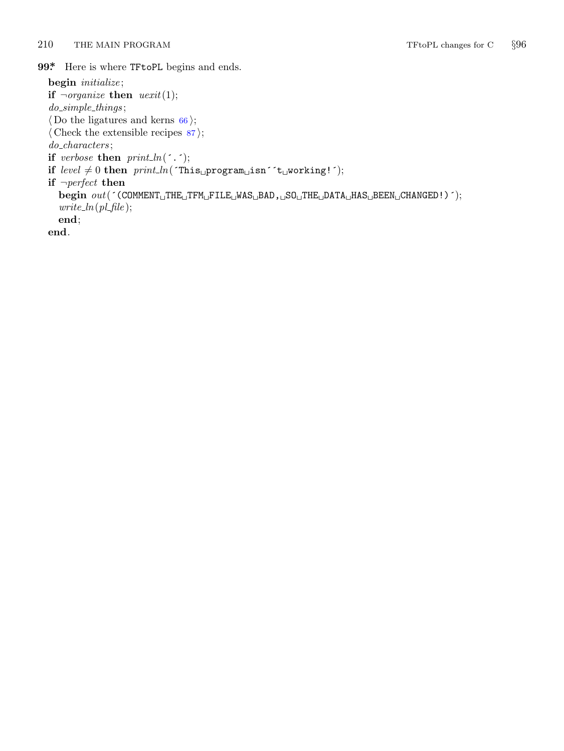<span id="page-9-0"></span>210 THE MAIN PROGRAM TFtoPL changes for C  $\S 96$ 

99<sup>\*</sup> Here is where TFtoPL begins and ends.

**begin** *initialize* ; **if**  $\neg$ *organize* **then**  $\text{uexit}(1);$ *do simple things* ; *⟨* Do the ligatures and kerns 66 *⟩*; *⟨* Check the extensible recipes 87 *⟩*; *do characters* ; **if** *verbose* **then**  $print\_ln($  $\cdot$ . $\cdot$  $);$  $\begin{split} \textbf{if } \textit{level} \neq 0 \textbf{ then } \textit{print\_ln}(\texttt{`This\_program\_ism}` \texttt{`t\_working!'}); \end{split}$ **if** *¬perfect* **then begin** *out*(´(COMMENT␣THE␣TFM␣FILE␣WAS␣BAD,␣SO␣THE␣DATA␣HAS␣BEEN␣CHANGED!)´);  $write\_ln(pl\_file);$ **end**; **end**.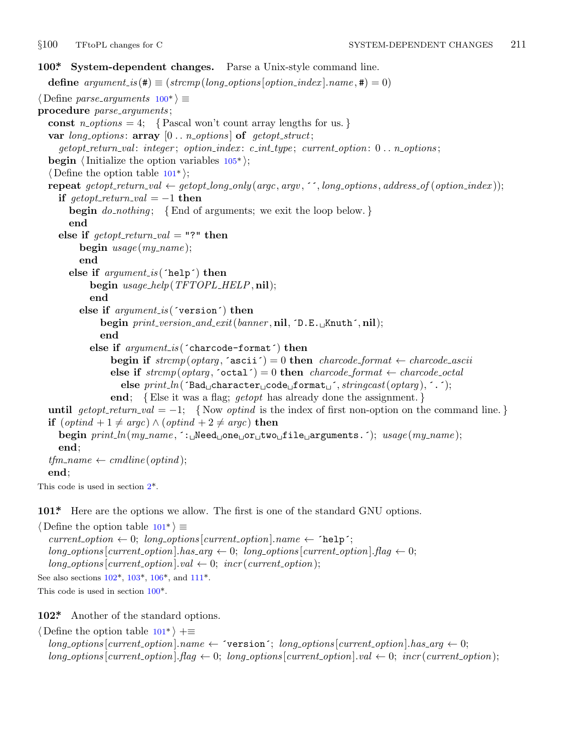<span id="page-10-0"></span>

```
100*. System-dependent changes. Parse a Unix-style command line.
  define options[option\_index].name, \textbf{\#}) = 0)⟨ Define parse arguments 100* ⟩ ≡
procedure parse arguments ;
  const n\_options = 4; {Pascal won't count array lengths for us.}
  var long options : array [0 . . n options ] of getopt struct;
    getopt return val : integer ; option index : c int type ; current option: 0 . . n options ;
  begin ⟨Initialize the option variables 105* ⟩;
  ⟨ Define the option table 101* ⟩;
  repeat getopt_return_val \leftarrow getopt_long_only(argc, argv, '', long_options, address_of(option_index));
    if qetopt\_return\_val = -1 then
      begin do nothing ; {End of arguments; we exit the loop below. }
      end
    else if \text{getopt\_return\_val} = "?" then
         begin usage (my name );
         end
      else if argument is (´help´) then
           begin usage help(TFTOPL HELP, nil);
           end
         else if argument is (´version´) then
             begin print version and exit(banner , nil, ´D.E.␣Knuth´, nil);
              end
           else if argument is (´charcode−format´) then
                begin if stremp(optarg, 'ascii') = 0 then charcode\_format \leftarrow charcode\_asciielse if strcmp(optarg, 'octal') = 0 then charcode\_format \leftarrow charcode\_octalelse print ln(´Bad␣character␣code␣format␣´, stringcast(optarg ), ´.´);
                end; {Else it was a flag; getopt has already done the assignment. }
  until al = -1; {Now optind is the index of first non-option on the command line.}
  if (\text{optind} + 1 \neq \text{argc}) \land (\text{optind} + 2 \neq \text{argc}) then
    begin print ln(my name , ´:␣Need␣one␣or␣two␣file␣arguments.´); usage (my name );
    end;
  tfm_name \leftarrow \text{c}mdline(optind);
  end;
This code is used in section 2*.
101*. Here are the options we allow. The first is one of the standard GNU options.
⟨ Define the option table 101* ⟩ ≡
  current\_option \leftarrow 0; long\_options[current\_option].name \leftarrow 'help';
```
 $long\_options$  [*current\_option*]*.has\_arg*  $\leftarrow$  0;  $long\_options$  [*current\_option*]*.flag*  $\leftarrow$  0;  $long\_options[current\_option].val \leftarrow 0; incr(current\_option);$ See also sections 102\*, 103\*, 106\*, and 111\*. This code is used in section 100\*.

**102\*.** Another of the standard options.

*⟨* Define the option table 101\* *⟩* +*≡*  $\{long\}$  *options*  $\{current\_option\}$ *name*  $\leftarrow$   $\{version\}$ ;  $\{long\}$  *options*  $\{current\_option\}$ *.has*  $\{arg\leftarrow 0\}$ ;  $long\_{options}[current\_{option}]\$ .  $flag \leftarrow 0; long\_{options}[current\_{option}]\$ .  $val \leftarrow 0; incr(current\_{option});$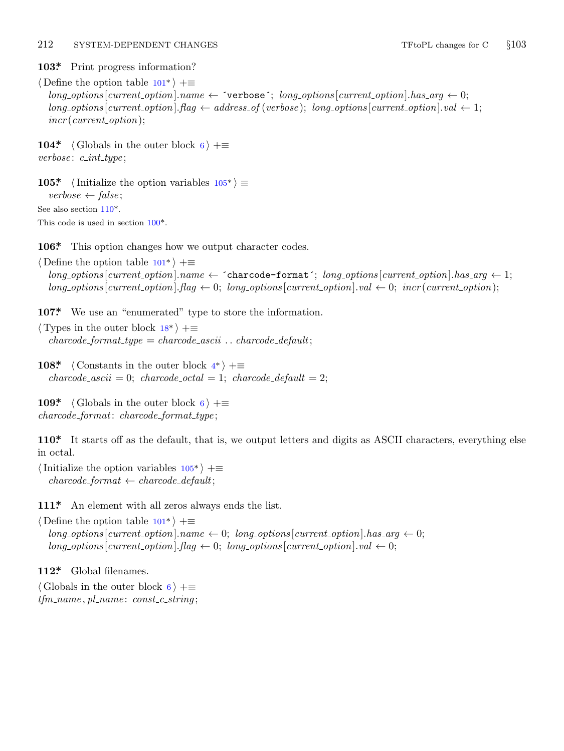## <span id="page-11-0"></span>212 SYSTEM-DEPENDENT CHANGES TFtoPL changes for C  $\S 103$

**103\*.** Print progress information?

*⟨* Define the option table 101\* *⟩* +*≡*  $long-options[current\_option].name \leftarrow \text{'verpose'}; long\_options[current\_option].has\_arg \leftarrow 0;$  $long-options$  [*current\_option*]*.flag*  $\leftarrow$  *address\_of* (*verbose*); *long\_options* [*current\_option*]*.val*  $\leftarrow$  1; *incr* (*current option*);

**104\***  $\langle$  Globals in the [oute](#page-10-0)r block 6  $\rangle$  + $\equiv$ *verbose* : *c int type* ;

**105\***  $\langle$  Initialize the op[tion](#page-10-0) variables  $105^*$   $\equiv$ *verbose ← false* ; See also section 110\*. This code is used in section 100\*.

**106\*.** This option change[s h](#page-3-0)ow we output character codes.

*⟨* Define the option table 101\* *⟩* +*≡*  $long-options[current\_option].name \leftarrow \text{`characteration'};$ *long\_options* $[current\_option].has\_arg \leftarrow 1;$  $long\_options$  [current\_option].  $flag \leftarrow 0$  $flag \leftarrow 0$ ;  $long\_options$  [current\_option].  $val \leftarrow 0$ ;  $incr$  (current\_option);

**107\*.** We use an "enumerated" type to store the information.

*⟨* Types in the outer block 18\* *⟩* +*≡*  $character{a}$  *charcode\_format\_type = charcode\_ascii*  $\ldots$  *charcode\_default*;

**108\***  $\langle$  Constants in the outer block  $4^*$   $\rangle$  +=  $characterance\_ascii = 0$ ;  $characterance\_octal = 1$ ;  $characterance\_default = 2$ ;

**109\***  $\langle$  Globals in the outer block 6  $\rangle$  + $\equiv$ *charcode format*: *charcode format type* ;

**110\*.** It starts off as th[e de](#page-10-0)fault, that is, we output letters and digits as ASCII characters, everything else in octal.

*⟨*Initialize the option variables 105\* *⟩* +*≡*  $character{f}$ *charcode\_default*;

111<sup>\*</sup> An element with all zeros always ends the list.

*⟨* Define the option table 101\* *⟩* +*≡*  $long\_options$  [current\_option]*.name*  $\leftarrow 0$ ; *long\_options* [current\_option]*.has\_arg*  $\leftarrow 0$ ;  $long\_options[current\_option]$ *.* $flag \leftarrow 0$ ;  $long\_options[current\_option]$ *.val*  $\leftarrow 0$ ;

**112\*.** Global filenames.

*⟨* Globals in the outer block 6 *⟩* +*≡ tfm name , pl name* : *const c string* ;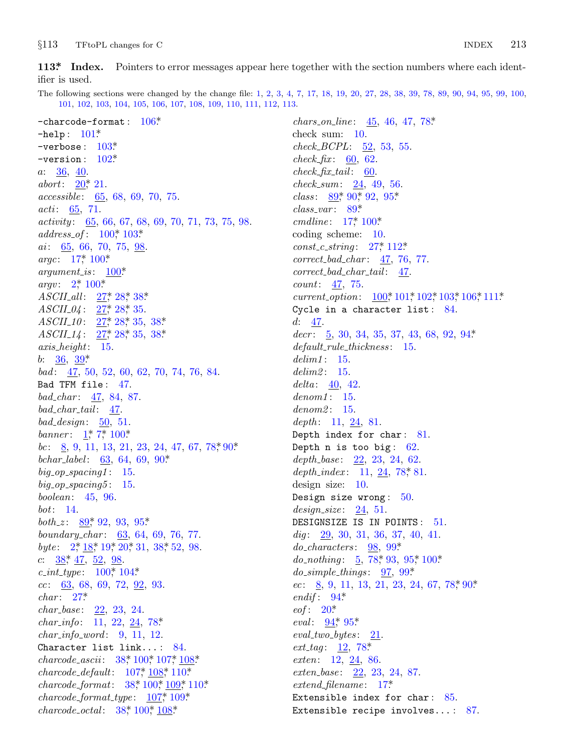<span id="page-12-0"></span>*§*113 TFtoPL changes [for](#page-11-0) C INDEX 213

**113\*. I[nde](#page-10-0)[x.](#page-11-0)** Pointers to error messages appear here together with the section numbers where each identifier is used.

The following s[ectio](#page-10-0)ns were changed by the change file: 1, 2, 3, 4, 7, 17, 18, 19, 20, 27, 28, 38, 39, 78, 89, 90, 94, 95, 99, 100, 101, [10](#page-3-0)2, 103, 104, 105, 106, 107, 108, 109, 110, 111, 112, 113.

−charcode−format : 106\*. −help : 101\*. −verbose : 103\*. −version : [102\\*.](#page-10-0) *a*: 36, 40. *abort*:  $20^*$  $20^*$ , [21.](#page-10-0) *accessible* : 65, [68](#page-10-0), 69, 70, 75. *acti* : [65](#page-1-0), [71.](#page-10-0) *activity* : 65, [6](#page-4-0)6, [67](#page-4-0), [68](#page-4-0), 69, 70, 71, 73, 75, 98. *address of* : [10](#page-4-0)0[\\*,](#page-4-0) 103\*. *ai* : 65, 66, [70](#page-4-0), [75](#page-4-0), 98. *argc*: 17\*, 1[00\\*.](#page-4-0) *argument\_is*:  $100^*$ . *argv*:  $2^*$ ,  $100^*$ . *ASCII all* : 27\*, 28\*, 38\*. *ASCII*<sub>-04</sub> : 27<sup>\*</sup>, 28<sup>\*</sup>, 35. *ASCII*<sub>10</sub>: 27,\* 28,\* 35, 38.\* *ASCII*<sub>-14</sub>: 27<sup>\*</sup>, 28<sup>\*</sup>, 35, 38<sup>\*</sup> *axis height*: 15. *b*: 36, 39\* *bad* : 47, 50, 52, 60, 62, 70, 74, 76, [84](#page-5-0). Bad TFM file: 47. *bad char* : 47, 84, 87. *bad char tail* : 47. *bad design*: 50, 51. *banner* : 1\*, 7\*, 100\*. *bc*: 8, 9, [1](#page-6-0)1, 13, 21, [23](#page-8-0), 24, 47, 67, 78, 90\*. *bchar label* : 63, 64, 69, 90\*. *big op [sp](#page-1-0)[acing1](#page-3-0)* : [15](#page-3-0). *big [op](#page-4-0) spacing5* : 15. *boolean*: 45, [96](#page-10-0). *bot*: 14. *both\_z*: [8](#page-4-0)9,\* 92, 93, 95\*. *boundary char* : 63, 64, 69, 76, 77. *byte* : 2,\* 18,\* 19,\* 20,\* 31, [38](#page-5-0),\* 52, 98. *c*: 38\*, 47, 52, 98. *c int type* : 100\*, 104\*. *cc*: 63, 68, 69, [72,](#page-4-0) [92,](#page-10-0) [93.](#page-11-0) *char* : 27\*. *char base* : 22, 23, [2](#page-4-0)4[.](#page-10-0) *char info*: 11, 22, 24, [78\\*.](#page-11-0) *char info word* : [9,](#page-4-0) [11,](#page-10-0) 1[2.](#page-11-0) Character list link... : 84. *charcode\_ascii*: 38,\* 100,\* 107,\* 108\* *charcode default*: 107\*, 108\*, 110\*. *charcode format*: 38\*, 100\*, 109\*, 110\*. *charcode format type* : 107\*, 109\*. *charcode octal* : 38\*, 100\*, 108\*.

*chars o[n](#page-6-0) li[ne](#page-7-0)* : 45, [46](#page-8-0), 47, 78\*. check sum: [1](#page-6-0)0. *check BCP[L](#page-2-0)*: [52,](#page-10-0) 53, 55. *check\_fix* :  $60, 62$ .  $check$ *fix*  $tail$  : [60.](#page-4-0) *check sum*: 24, 49, 56. *class* : 89\*, 90\*, 92, 95\*. *class var* : 89\*. *cmdline* : 17<sup>\*</sup>, 100<sup>\*</sup> coding scheme: 10. *const c string* : 27\*, 112\*. *correct bad char* : 47, 76, 77. *correct bad char tail* : 47. *count*: 47, 75. *current\_option*:  $100$ <sup>\*</sup>,  $101$ <sup>\*</sup>,  $102$ <sup>\*</sup>,  $103$ <sup>\*</sup>,  $106$ <sup>\*</sup>,  $111$ <sup>\*</sup>. Cycle in a character list: 84. *d*: 47. *decr* : 5, 30, 34, 35, 37, 43, 68, 92, 94\*. *default rule thickness* : 15. *delim1* : 15. *delim2* : 15. delta: 40, 42. *denom1* : 15. *denom2* : 15. *depth* : 11, 24, 81. Depth index for char: 81. Depth n is too big:  $62$ . *depth base* : 22, 23, 24, 62. *depth\_index* : 11, 2[4,](#page-9-0) 78, 81. design size: 10[.](#page-5-0) Design size wrong:  $50$ . *design size* : 24, 51. DESIGNS[IZ](#page-7-0)E IS IN POINTS: 51. *dig* : [29,](#page-3-0) 30, 31, 36, 37, 40, 41. *do cha[rac](#page-7-0)t[ers](#page-8-0)* : 98, 99\*. *do\_nothing*: 5, 78\*, 93, 95\*, 100\*. *do simple thi[ngs](#page-5-0)* : 97, 99\*. *ec*: 8, 9, 11, 13, 21, 23, 24, 67, 78, 90\* *endif* : 94\*. *eof* : 20\*. *eval*:  $\frac{94}{7}$  95\* *eval two bytes* : 21. *ext\_tag*: <u>12</u>, 78\* *exten*: 12, 24, 86. *exten base* : 22, 23, 24, 87. *extend filename* : 17\*. Extensible index for char: 85. Extensible recipe involves... : 87.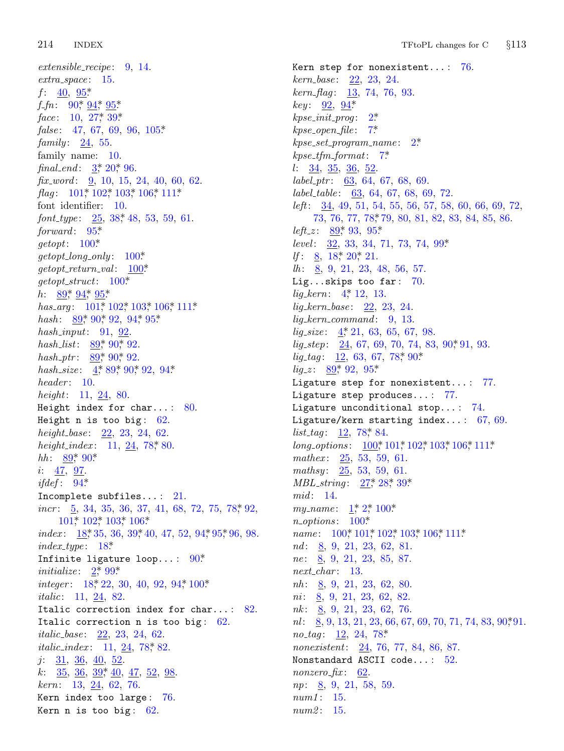214 **INDEX** 

 $extensible\_recipe: 9, 14.$  $extra\_space: 15.$  $f: 40, 95^*$  $f\_fn$ : 90\* 94\* 95\* face:  $10, 27, 39$ . false: 47, 67, 69, 96, 105\* family:  $24, 55$ . family name: 10. final\_end:  $3, 20, 96$ .  $\hat{h}x_{av}$  and: 9, 10, 15, 24, 40, 60, 62. *flag*:  $101$ <sup>\*</sup>,  $102$ <sup>\*</sup>,  $103$ <sup>\*</sup>,  $106$ <sup>\*</sup>,  $111$ <sup>\*</sup> font identifier: 10. font\_type:  $25, 38, 48, 53, 59, 61$ .  $forward: 95*$  $qetopt: 100*$  $getopt\_long\_only: 100*$  $getopt\_return\_val: 100*$  $getopt\_struct: 100*$ *h*:  $89, 94, 95$ has\_arg:  $101$ <sup>\*</sup>,  $102$ <sup>\*</sup>,  $103$ <sup>\*</sup>,  $106$ <sup>\*</sup>,  $111$ <sup>\*</sup> hash:  $89,90,92,94,95$ \* hash\_input:  $91, 92$ . hash\_list:  $89,90,92$ . hash\_ptr:  $89^*$ ,  $90^*$ ,  $92$ . hash\_size:  $4$ , 89, 90, 92, 94\*  $header: 10.$ *height*: 11, 24, 80. Height index for char...:  $80$ . Height n is too big:  $62$ . height\_base:  $22, 23, 24, 62$ . height\_index:  $11, 24, 78, 80$ . *hh*:  $89,90*$  $i: 47, 97.$ *ifdef*:  $94^*$ Incomplete subfiles...:  $21$ .  $incr: 5, 34, 35, 36, 37, 41, 68, 72, 75, 78, 92,$ 101, 102, 103, 106\*  $index: \quad 18, 35, 36, 39, 40, 47, 52, 94, 95, 96, 98.$  $index\_type: 18*$ Infinite ligature loop...:  $90^*$ *initialize:*  $2^*$  99\* integer:  $18, 22, 30, 40, 92, 94, 100$ \* *italic*:  $11, 24, 82$ . Italic correction index for char...: 82. Italic correction n is too big:  $62$ . *italic\_base*:  $22, 23, 24, 62$ . *italic\_index:* 11,  $24$ , 78, 82.  $j: \frac{31}{5}, \frac{36}{5}, \frac{40}{52}.$ k:  $\frac{35}{5}, \frac{36}{5}, \frac{39}{5}, \frac{40}{5}, \frac{47}{52}, \frac{52}{98}$  $kern: 13, 24, 62, 76.$ Kern index too large:  $76$ . Kern n is too big:  $62$ .

Kern step for nonexistent...:  $76$ .  $kern\_base:$  22, 23, 24.  $kern\_flag: 13, 74, 76, 93.$  $key: 92, 94*$  $kpc\_init\_prog: 2^*$  $kpse\_open\_file: 7*$  $kpc.set\_program_name: 2*$  $k$ pse\_tfm\_format: 7\*  $l: \frac{34}{5}, \frac{35}{5}, \frac{36}{52}$  $label\_ptr:0.63, 64, 67, 68, 69.$  $label_table:subleq$ : 63, 64, 67, 68, 69, 72. left: 34, 49, 51, 54, 55, 56, 57, 58, 60, 66, 69, 72, 73, 76, 77, 78, 79, 80, 81, 82, 83, 84, 85, 86. *left\_z*:  $89,93,95$ level:  $32, 33, 34, 71, 73, 74, 99*$ *If*:  $\underline{8}$ , 18, 20, 21.  $lh: \quad 8, 9, 21, 23, 48, 56, 57.$ Lig...skips too far:  $70$ .  $lig\_kern: 4, 12, 13.$  $lig\_kern\_base: 22, 23, 24.$  $lig\_kern\_command:$  9, 13.  $lig\_size:$  4, 21, 63, 65, 67, 98.  $lig\_step: \underline{24}$ , 67, 69, 70, 74, 83, 90, 91, 93.  $lig\_tag: 12, 63, 67, 78, 90.$  $lig\_z: \frac{89}{5}, 92, 95$ Ligature step for nonexistent...: 77. Ligature step produces...: 77. Ligature unconditional stop...:  $74$ . Ligature/kern starting index...:  $67, 69$ .  $list\_tag: 12, 78, 84.$  $long\_options: \quad 100^* \, 101^* \, 102^* \, 103^* \, 106^* \, 111^*$ mathex:  $25, 53, 59, 61$ . mathsy:  $25, 53, 59, 61.$  $MBL\_string: 27^* 28^* 39^*$  $mid: 14.$ my\_name:  $1, 2, 100$ \*  $n\_options: 100*$ *name*:  $100^* 101^* 102^* 103^* 106^* 111^*$  $nd: 8, 9, 21, 23, 62, 81.$ *ne*:  $\underline{8}$ , 9, 21, 23, 85, 87.  $next\_char: 13.$  $nh: \underline{8}, 9, 21, 23, 62, 80.$  $ni: 8, 9, 21, 23, 62, 82.$  $nk: \underline{8}, 9, 21, 23, 62, 76.$  $nl:$  8, 9, 13, 21, 23, 66, 67, 69, 70, 71, 74, 83, 90, 91. *no-tag*:  $12, 24, 78$ <sup>\*</sup> nonexistent: 24, 76, 77, 84, 86, 87. Nonstandard ASCII code...: 52.  $nonzero\_fix:$  62.  $np: \underline{8}, 9, 21, 58, 59.$  $num1: 15.$  $num2: 15.$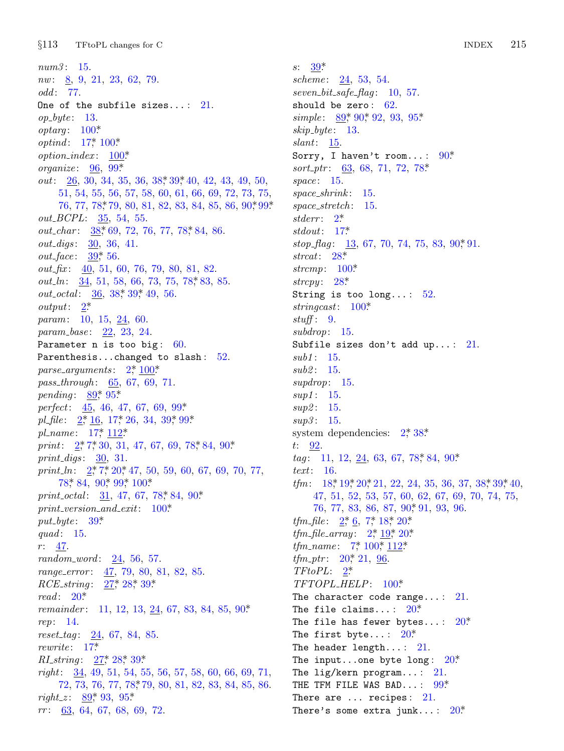$§113$ TFtoPL changes for C

 $num3: 15.$  $nw: \underline{8}, 9, 21, 23, 62, 79.$ odd: 77. One of the subfile sizes...:  $21$ .  $op\_byte: 13.$  $optarg: 100*$ *optind*:  $17^*$ ,  $100^*$  $option\_index: 100*$ organize:  $96, 99^*$ *out*:  $26, 30, 34, 35, 36, 38, 39, 40, 42, 43, 49, 50,$ 51, 54, 55, 56, 57, 58, 60, 61, 66, 69, 72, 73, 75, 76, 77, 78, 79, 80, 81, 82, 83, 84, 85, 86, 90, 99\* *out\_BCPL*:  $35, 54, 55$ . out\_char: 38,\* 69, 72, 76, 77, 78,\* 84, 86. *out\_digs*: 30, 36, 41. *out\_face*:  $39,56$ .  $out\_fix$ :  $\underline{40}$ , 51, 60, 76, 79, 80, 81, 82. out\_ln:  $34, 51, 58, 66, 73, 75, 78, 83, 85$ .  $out\_octal:$   $\frac{36}{56}$ , 38, 39, 49, 56.  $output: \quad 2^*$ param: 10, 15, 24, 60. param\_base: 22, 23, 24. Parameter  $n$  is too big: 60. Parenthesis...changed to slash: 52. parse\_arguments:  $2, \frac{100^*}{2}$ pass\_through: 65, 67, 69, 71. *pending*:  $89,95$ \* perfect:  $45, 46, 47, 67, 69, 99*$ pl\_file:  $2, 16$ , 17, 26, 34, 39, 99\* pl\_name:  $17^*$ ,  $112^*$ print:  $2, 7, 30, 31, 47, 67, 69, 78, 84, 90$ \* print\_digs:  $30, 31$ . print\_ln:  $2^*$ , 7\*, 20\*, 47, 50, 59, 60, 67, 69, 70, 77,  $78^*$  84, 90<sup>\*</sup> 99<sup>\*</sup> 100<sup>\*</sup> print\_octal:  $31, 47, 67, 78, 84, 90$ \*  $print\_version\_and\_exit: 100*$  $put\_byte: 39*$ quad:  $15.$  $r: 47.$  $random\_word: \quad 24, 56, 57.$ range\_error: 47, 79, 80, 81, 82, 85. RCE\_string: 27,\* 28,\* 39.\*  $read: 20*$ *remainder*: 11, 12, 13, 24, 67, 83, 84, 85, 90\* rep: 14.  $reset\_tag: 24, 67, 84, 85.$  $rewrite: 17*$ *RI\_string*:  $27^* 28^* 39^*$  $right: \quad \frac{34}{4}, 49, 51, 54, 55, 56, 57, 58, 60, 66, 69, 71,$ 72, 73, 76, 77, 78, 79, 80, 81, 82, 83, 84, 85, 86. right\_z:  $89^*$  93, 95\*  $rr: 63, 64, 67, 68, 69, 72.$ 

 $s: 39^*$ scheme:  $24, 53, 54$ .  $seven\_bit\_safe\_flag: 10, 57.$ should be zero:  $62$ . simple:  $89, 90, 92, 93, 95$ \*  $skip\_byte: 13.$  $slant: 15.$ Sorry, I haven't room...:  $90*$ sort\_ptr:  $63, 68, 71, 72, 78$ \* space:  $15$ .  $space\_shrink: 15$ .  $space\_stretch: 15.$ stderr:  $2^*$ stdout:  $17^*$  $stop\_flag: \quad \underline{13},\ 67,\ 70,\ 74,\ 75,\ 83,\ 90^*\ 91.$ strcat:  $28^*$ strcmp:  $100^*$ strcpy:  $28^*$ String is too long...:  $52$ . stringcast:  $100^*$  $stuff: 9.$  $subdrop: 15.$ Subfile sizes don't add up...:  $21$ .  $sub1: 15.$  $sub2: 15.$  $supdrop: 15.$  $sup1: 15.$ sup2: 15.  $sup3: 15.$ system dependencies:  $2^*38^*$  $t: 92.$ *tag*: 11, 12, 24, 63, 67, 78, 84, 90\*  $text: 16.$  $tfm: 18, 19, 20, 21, 22, 24, 35, 36, 37, 38, 39, 40,$ 47, 51, 52, 53, 57, 60, 62, 67, 69, 70, 74, 75, 76, 77, 83, 86, 87, 90, 91, 93, 96. *tfm\_file*:  $2, 6$ ,  $7, 18, 20$ \* *tfm\_file\_array*:  $2^* 19^* 20^*$ *tfm\_name*:  $7, 100, 112$ *tfm\_ptr*:  $20^*$ , 21, 96.  $TFto PL: 2^*$ TFTOPL\_HELP: 100\* The character code range...:  $21$ . The file claims...:  $20^*$ The file has fewer bytes...:  $20^*$ The first byte...:  $20^*$ The header length...:  $21$ . The input...one byte long:  $20^*$ The lig/kern program...:  $21$ . THE TFM FILE WAS BAD...:  $99^*$ 

There are  $\ldots$  recipes: 21.

There's some extra junk...:  $20^*$ 

**INDEX** 215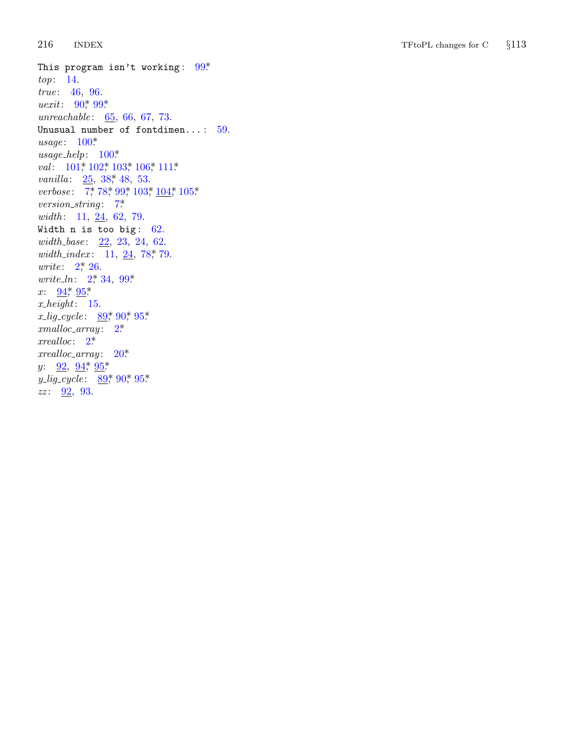216 **INDEX**   $\operatorname{TFtoPL}$  changes for  $\operatorname{C}$  $§113$ 

This program isn't working:  $99*$ top: 14. true: 46, 96. *uexit*:  $90^*$ ,  $99^*$ unreachable:  $65, 66, 67, 73$ . Unusual number of fontdimen...:  $59$ .  $usage: 100*$  $usage\_help: 100*$ val:  $101$ <sup>\*</sup>,  $102$ <sup>\*</sup>,  $103$ <sup>\*</sup>,  $106$ <sup>\*</sup>,  $111$ <sup>\*</sup> *vanilla*:  $25, 38, 48, 53$ . verbose:  $7, 78, 99, 103, \underline{104}, 105$  $version\_string: 7*$ width:  $11, 24, 62, 79$ . Width  $n$  is too big:  $62$ .  $width\_base: 22, 23, 24, 62.$ width\_index:  $11, 24, 78, 79.$ *write*:  $2^*$ , 26. *write\_ln:*  $2^*$ , 34, 99\* x:  $\frac{94}{5}$   $\frac{95}{5}$  $x \text{.} height: 15.$ x\_lig\_cycle:  $89,90,95$ \*  $cmalloc\_array: 2^*$  $xrealloc: 2^*$  $xrealloc\_array: 20*$  $y: \frac{92}{94}$ ,  $\frac{94}{95}$  $y_{\text{-}}\text{lig\_cycle:} \quad \underline{89^*}\,90^*05^*$  $zz: \frac{92}{93}$ , 93.